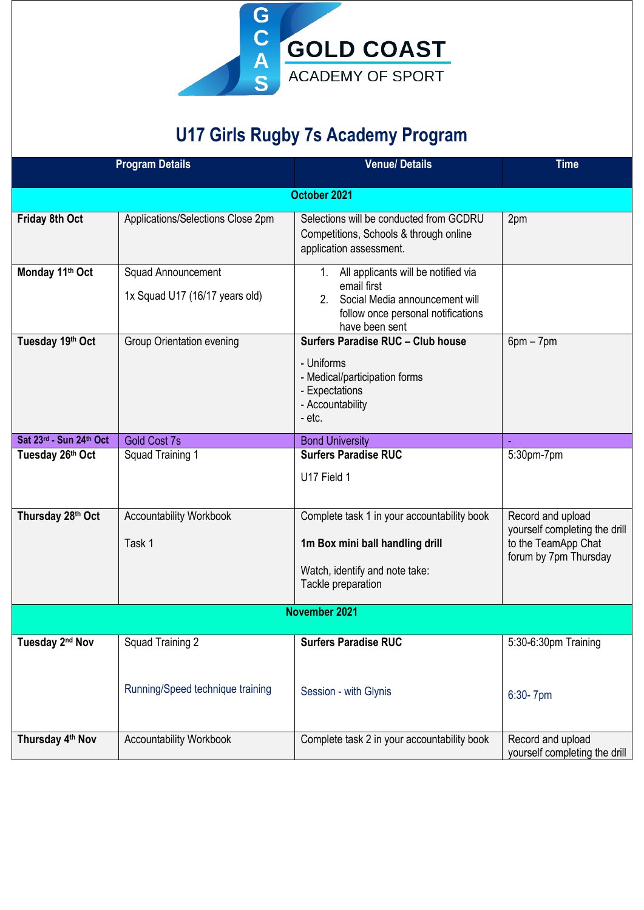

## **U17 Girls Rugby 7s Academy Program**

|                             | <b>Program Details</b>            | <b>Venue/Details</b>                                                                                                    | <b>Time</b>                                                                   |  |
|-----------------------------|-----------------------------------|-------------------------------------------------------------------------------------------------------------------------|-------------------------------------------------------------------------------|--|
|                             |                                   | October 2021                                                                                                            |                                                                               |  |
|                             |                                   |                                                                                                                         |                                                                               |  |
| Friday 8th Oct              | Applications/Selections Close 2pm | Selections will be conducted from GCDRU<br>Competitions, Schools & through online<br>application assessment.            | 2pm                                                                           |  |
| Monday 11th Oct             | <b>Squad Announcement</b>         | 1. All applicants will be notified via                                                                                  |                                                                               |  |
|                             | 1x Squad U17 (16/17 years old)    | email first<br>Social Media announcement will<br>2 <sub>1</sub><br>follow once personal notifications<br>have been sent |                                                                               |  |
| Tuesday 19th Oct            | <b>Group Orientation evening</b>  | Surfers Paradise RUC - Club house                                                                                       | $6pm - 7pm$                                                                   |  |
|                             |                                   | - Uniforms<br>- Medical/participation forms<br>- Expectations<br>- Accountability<br>- etc.                             |                                                                               |  |
| Sat 23rd - Sun 24th Oct     | <b>Gold Cost 7s</b>               | <b>Bond University</b>                                                                                                  | $\blacksquare$                                                                |  |
| Tuesday 26th Oct            | Squad Training 1                  | <b>Surfers Paradise RUC</b>                                                                                             | 5:30pm-7pm                                                                    |  |
|                             |                                   | U17 Field 1                                                                                                             |                                                                               |  |
| Thursday 28th Oct           | <b>Accountability Workbook</b>    | Complete task 1 in your accountability book                                                                             | Record and upload                                                             |  |
|                             | Task 1                            | 1m Box mini ball handling drill                                                                                         | yourself completing the drill<br>to the TeamApp Chat<br>forum by 7pm Thursday |  |
|                             |                                   | Watch, identify and note take:<br>Tackle preparation                                                                    |                                                                               |  |
| November 2021               |                                   |                                                                                                                         |                                                                               |  |
| Tuesday 2 <sup>nd</sup> Nov | Squad Training 2                  | Surfers Paradise RUC                                                                                                    | 5:30-6:30pm Training                                                          |  |
|                             | Running/Speed technique training  | Session - with Glynis                                                                                                   | 6:30-7pm                                                                      |  |
| Thursday 4th Nov            | <b>Accountability Workbook</b>    | Complete task 2 in your accountability book                                                                             | Record and upload<br>yourself completing the drill                            |  |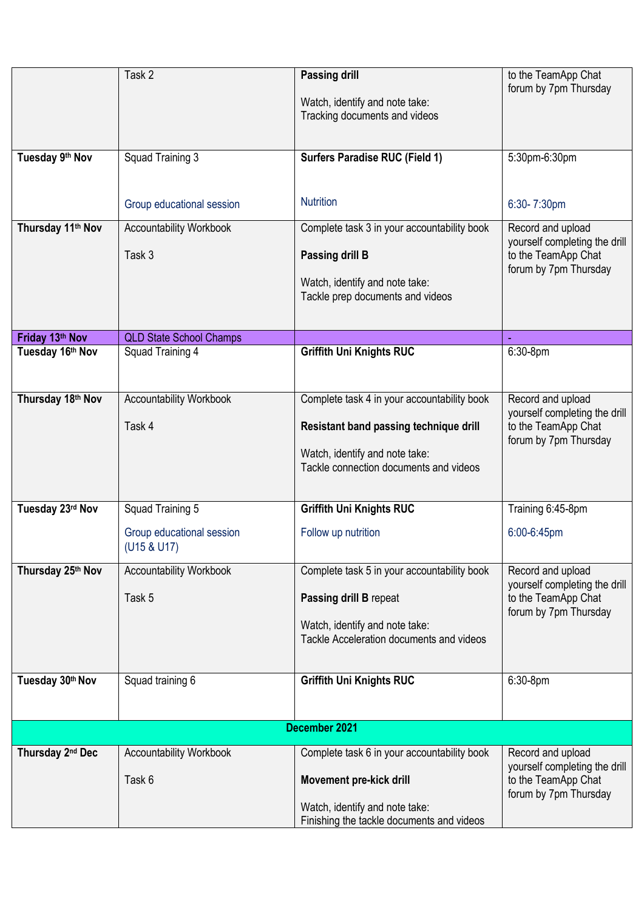|                               | Task 2                                   | <b>Passing drill</b><br>Watch, identify and note take:<br>Tracking documents and videos                                              | to the TeamApp Chat<br>forum by 7pm Thursday                                                       |
|-------------------------------|------------------------------------------|--------------------------------------------------------------------------------------------------------------------------------------|----------------------------------------------------------------------------------------------------|
| Tuesday 9th Nov               | Squad Training 3                         | <b>Surfers Paradise RUC (Field 1)</b>                                                                                                | 5:30pm-6:30pm                                                                                      |
|                               | Group educational session                | <b>Nutrition</b>                                                                                                                     | 6:30-7:30pm                                                                                        |
| Thursday 11 <sup>th</sup> Nov | <b>Accountability Workbook</b><br>Task 3 | Complete task 3 in your accountability book<br>Passing drill B<br>Watch, identify and note take:<br>Tackle prep documents and videos | Record and upload<br>yourself completing the drill<br>to the TeamApp Chat<br>forum by 7pm Thursday |
| Friday 13th Nov               | <b>QLD State School Champs</b>           |                                                                                                                                      |                                                                                                    |
| Tuesday 16th Nov              | Squad Training 4                         | <b>Griffith Uni Knights RUC</b>                                                                                                      | $6:30-8$ pm                                                                                        |
| Thursday 18th Nov             | <b>Accountability Workbook</b>           | Complete task 4 in your accountability book                                                                                          | Record and upload                                                                                  |
|                               | Task 4                                   | Resistant band passing technique drill<br>Watch, identify and note take:<br>Tackle connection documents and videos                   | yourself completing the drill<br>to the TeamApp Chat<br>forum by 7pm Thursday                      |
| Tuesday 23rd Nov              | Squad Training 5                         | <b>Griffith Uni Knights RUC</b>                                                                                                      | Training 6:45-8pm                                                                                  |
|                               | Group educational session<br>(U15 & U17) | Follow up nutrition                                                                                                                  | 6:00-6:45pm                                                                                        |
| Thursday 25th Nov             | <b>Accountability Workbook</b>           | Complete task 5 in your accountability book                                                                                          | Record and upload                                                                                  |
|                               | Task 5                                   | Passing drill B repeat<br>Watch, identify and note take:<br>Tackle Acceleration documents and videos                                 | yourself completing the drill<br>to the TeamApp Chat<br>forum by 7pm Thursday                      |
| Tuesday 30th Nov              | Squad training 6                         | <b>Griffith Uni Knights RUC</b>                                                                                                      | 6:30-8pm                                                                                           |
|                               |                                          |                                                                                                                                      |                                                                                                    |
|                               |                                          | December 2021                                                                                                                        |                                                                                                    |
| Thursday 2 <sup>nd</sup> Dec  | <b>Accountability Workbook</b>           | Complete task 6 in your accountability book                                                                                          | Record and upload                                                                                  |
|                               | Task 6                                   | Movement pre-kick drill                                                                                                              | yourself completing the drill<br>to the TeamApp Chat<br>forum by 7pm Thursday                      |
|                               |                                          | Watch, identify and note take:<br>Finishing the tackle documents and videos                                                          |                                                                                                    |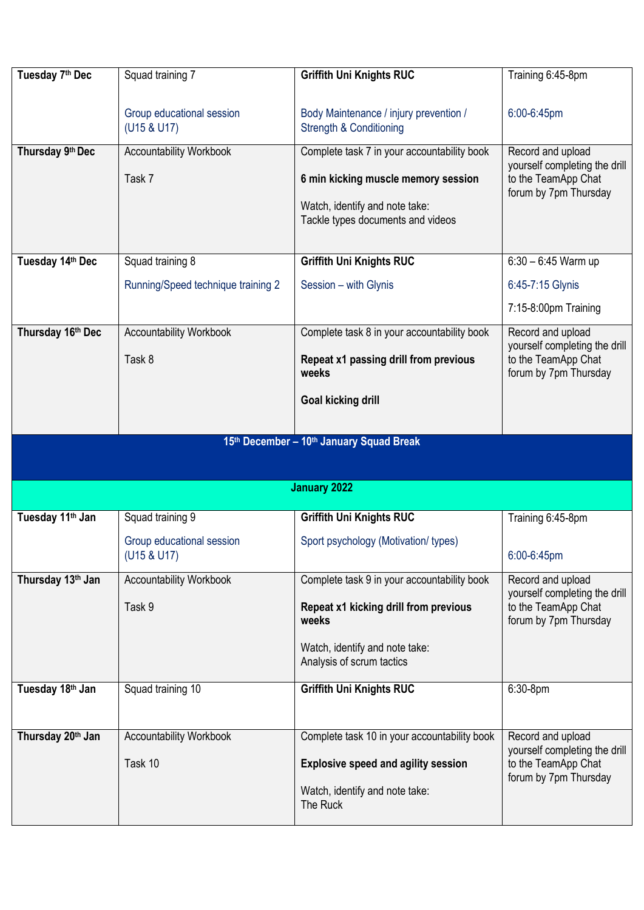| Tuesday 7 <sup>th</sup> Dec  | Squad training 7                         | Griffith Uni Knights RUC                                                     | Training 6:45-8pm                                    |
|------------------------------|------------------------------------------|------------------------------------------------------------------------------|------------------------------------------------------|
|                              |                                          |                                                                              |                                                      |
|                              | Group educational session<br>(U15 & U17) | Body Maintenance / injury prevention /<br><b>Strength &amp; Conditioning</b> | 6:00-6:45pm                                          |
|                              |                                          |                                                                              |                                                      |
| Thursday 9th Dec             | <b>Accountability Workbook</b>           | Complete task 7 in your accountability book                                  | Record and upload<br>yourself completing the drill   |
|                              | Task 7                                   | 6 min kicking muscle memory session                                          | to the TeamApp Chat<br>forum by 7pm Thursday         |
|                              |                                          | Watch, identify and note take:                                               |                                                      |
|                              |                                          | Tackle types documents and videos                                            |                                                      |
|                              |                                          |                                                                              |                                                      |
| Tuesday 14th Dec             | Squad training 8                         | <b>Griffith Uni Knights RUC</b>                                              | $6:30 - 6:45$ Warm up                                |
|                              | Running/Speed technique training 2       | Session - with Glynis                                                        | 6:45-7:15 Glynis                                     |
|                              |                                          |                                                                              | 7:15-8:00pm Training                                 |
| Thursday 16th Dec            | <b>Accountability Workbook</b>           | Complete task 8 in your accountability book                                  | Record and upload<br>yourself completing the drill   |
|                              | Task 8                                   | Repeat x1 passing drill from previous<br>weeks                               | to the TeamApp Chat<br>forum by 7pm Thursday         |
|                              |                                          | <b>Goal kicking drill</b>                                                    |                                                      |
|                              |                                          |                                                                              |                                                      |
|                              |                                          |                                                                              |                                                      |
|                              |                                          |                                                                              |                                                      |
|                              |                                          | 15th December - 10th January Squad Break                                     |                                                      |
|                              |                                          |                                                                              |                                                      |
|                              |                                          | <b>January 2022</b>                                                          |                                                      |
| Tuesday 11 <sup>th</sup> Jan | Squad training 9                         | <b>Griffith Uni Knights RUC</b>                                              | Training 6:45-8pm                                    |
|                              | Group educational session                | Sport psychology (Motivation/types)                                          |                                                      |
|                              | (U15 & U17)                              |                                                                              | 6:00-6:45pm                                          |
| Thursday 13th Jan            | <b>Accountability Workbook</b>           | Complete task 9 in your accountability book                                  | Record and upload                                    |
|                              |                                          |                                                                              | yourself completing the drill                        |
|                              | Task 9                                   | Repeat x1 kicking drill from previous<br>weeks                               | to the TeamApp Chat<br>forum by 7pm Thursday         |
|                              |                                          |                                                                              |                                                      |
|                              |                                          | Watch, identify and note take:<br>Analysis of scrum tactics                  |                                                      |
|                              |                                          |                                                                              |                                                      |
| Tuesday 18th Jan             | Squad training 10                        | Griffith Uni Knights RUC                                                     | 6:30-8pm                                             |
|                              |                                          |                                                                              |                                                      |
| Thursday 20th Jan            | <b>Accountability Workbook</b>           | Complete task 10 in your accountability book                                 | Record and upload                                    |
|                              | Task 10                                  | <b>Explosive speed and agility session</b>                                   | yourself completing the drill<br>to the TeamApp Chat |
|                              |                                          |                                                                              | forum by 7pm Thursday                                |
|                              |                                          | Watch, identify and note take:<br>The Ruck                                   |                                                      |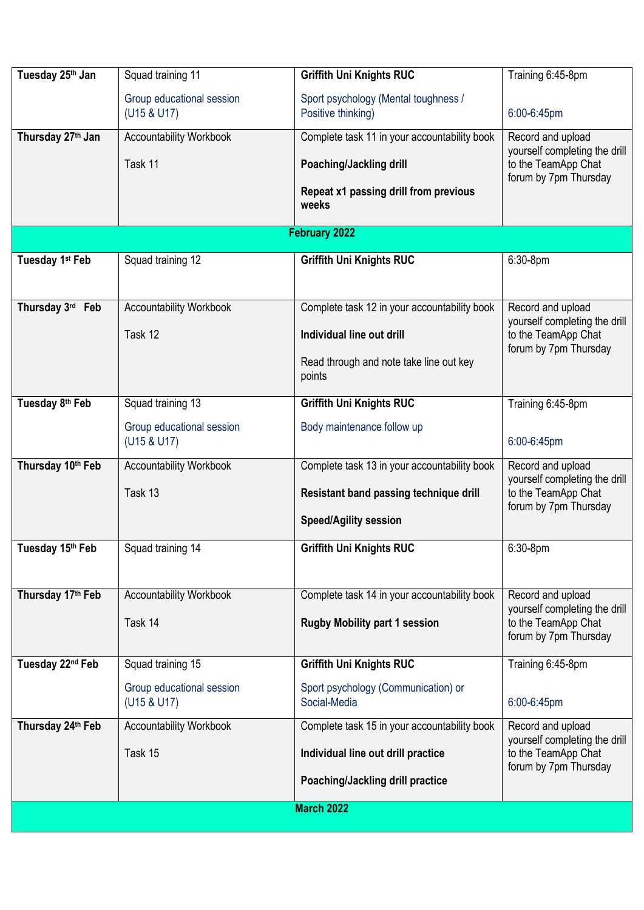| Tuesday 25th Jan              | Squad training 11                         | <b>Griffith Uni Knights RUC</b>                                                                                                | Training 6:45-8pm                                                                                  |
|-------------------------------|-------------------------------------------|--------------------------------------------------------------------------------------------------------------------------------|----------------------------------------------------------------------------------------------------|
|                               | Group educational session<br>(U15 & U17)  | Sport psychology (Mental toughness /<br>Positive thinking)                                                                     | 6:00-6:45pm                                                                                        |
| Thursday 27 <sup>th</sup> Jan | <b>Accountability Workbook</b><br>Task 11 | Complete task 11 in your accountability book<br>Poaching/Jackling drill<br>Repeat x1 passing drill from previous<br>weeks      | Record and upload<br>yourself completing the drill<br>to the TeamApp Chat<br>forum by 7pm Thursday |
|                               |                                           | February 2022                                                                                                                  |                                                                                                    |
| Tuesday 1st Feb               | Squad training 12                         | <b>Griffith Uni Knights RUC</b>                                                                                                | 6:30-8pm                                                                                           |
| Thursday 3rd Feb              | <b>Accountability Workbook</b><br>Task 12 | Complete task 12 in your accountability book<br>Individual line out drill<br>Read through and note take line out key<br>points | Record and upload<br>yourself completing the drill<br>to the TeamApp Chat<br>forum by 7pm Thursday |
| Tuesday 8th Feb               | Squad training 13                         | Griffith Uni Knights RUC                                                                                                       | Training 6:45-8pm                                                                                  |
|                               | Group educational session<br>(U15 & U17)  | Body maintenance follow up                                                                                                     | 6:00-6:45pm                                                                                        |
| Thursday 10th Feb             | <b>Accountability Workbook</b><br>Task 13 | Complete task 13 in your accountability book<br>Resistant band passing technique drill<br><b>Speed/Agility session</b>         | Record and upload<br>yourself completing the drill<br>to the TeamApp Chat<br>forum by 7pm Thursday |
| Tuesday 15th Feb              | Squad training 14                         | <b>Griffith Uni Knights RUC</b>                                                                                                | 6:30-8pm                                                                                           |
| Thursday 17th Feb             | <b>Accountability Workbook</b><br>Task 14 | Complete task 14 in your accountability book<br><b>Rugby Mobility part 1 session</b>                                           | Record and upload<br>yourself completing the drill<br>to the TeamApp Chat<br>forum by 7pm Thursday |
| Tuesday 22 <sup>nd</sup> Feb  | Squad training 15                         | <b>Griffith Uni Knights RUC</b>                                                                                                | Training 6:45-8pm                                                                                  |
|                               | Group educational session<br>(U15 & U17)  | Sport psychology (Communication) or<br>Social-Media                                                                            | 6:00-6:45pm                                                                                        |
| Thursday 24th Feb             | <b>Accountability Workbook</b><br>Task 15 | Complete task 15 in your accountability book<br>Individual line out drill practice<br>Poaching/Jackling drill practice         | Record and upload<br>yourself completing the drill<br>to the TeamApp Chat<br>forum by 7pm Thursday |
| <b>March 2022</b>             |                                           |                                                                                                                                |                                                                                                    |